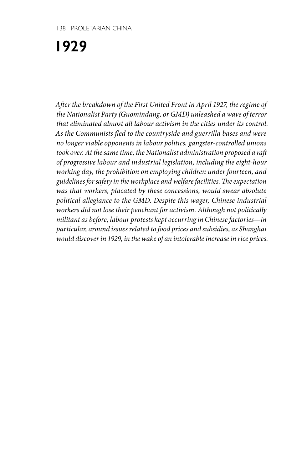**1929**

*After the breakdown of the First United Front in April 1927, the regime of the Nationalist Party (Guomindang, or GMD) unleashed a wave of terror that eliminated almost all labour activism in the cities under its control. As the Communists fled to the countryside and guerrilla bases and were no longer viable opponents in labour politics, gangster-controlled unions took over. At the same time, the Nationalist administration proposed a raft of progressive labour and industrial legislation, including the eight-hour working day, the prohibition on employing children under fourteen, and guidelines for safety in the workplace and welfare facilities. The expectation was that workers, placated by these concessions, would swear absolute political allegiance to the GMD. Despite this wager, Chinese industrial workers did not lose their penchant for activism. Although not politically militant as before, labour protests kept occurring in Chinese factories—in particular, around issues related to food prices and subsidies, as Shanghai would discover in 1929, in the wake of an intolerable increase in rice prices.*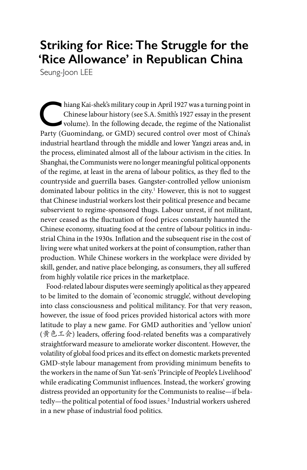# **Striking for Rice: The Struggle for the 'Rice Allowance' in Republican China**

Seung-Joon LEE

hiang Kai-shek's military coup in April 1927 was a turning point in<br>Chinese labour history (see S.A. Smith's 1927 essay in the present<br>volume). In the following decade, the regime of the Nationalist<br>Party (Guomindang, or G Chinese labour history (see S.A. Smith's 1927 essay in the present Party (Guomindang, or GMD) secured control over most of China's industrial heartland through the middle and lower Yangzi areas and, in the process, eliminated almost all of the labour activism in the cities. In Shanghai, the Communists were no longer meaningful political opponents of the regime, at least in the arena of labour politics, as they fled to the countryside and guerrilla bases. Gangster-controlled yellow unionism dominated labour politics in the city.<sup>1</sup> However, this is not to suggest that Chinese industrial workers lost their political presence and became subservient to regime-sponsored thugs. Labour unrest, if not militant, never ceased as the fluctuation of food prices constantly haunted the Chinese economy, situating food at the centre of labour politics in industrial China in the 1930s. Inflation and the subsequent rise in the cost of living were what united workers at the point of consumption, rather than production. While Chinese workers in the workplace were divided by skill, gender, and native place belonging, as consumers, they all suffered from highly volatile rice prices in the marketplace.

Food-related labour disputes were seemingly apolitical as they appeared to be limited to the domain of 'economic struggle', without developing into class consciousness and political militancy. For that very reason, however, the issue of food prices provided historical actors with more latitude to play a new game. For GMD authorities and 'yellow union' (黄色工会) leaders, offering food-related benefits was a comparatively straightforward measure to ameliorate worker discontent. However, the volatility of global food prices and its effect on domestic markets prevented GMD-style labour management from providing minimum benefits to the workers in the name of Sun Yat-sen's 'Principle of People's Livelihood' while eradicating Communist influences. Instead, the workers' growing distress provided an opportunity for the Communists to realise—if belatedly—the political potential of food issues.2 Industrial workers ushered in a new phase of industrial food politics.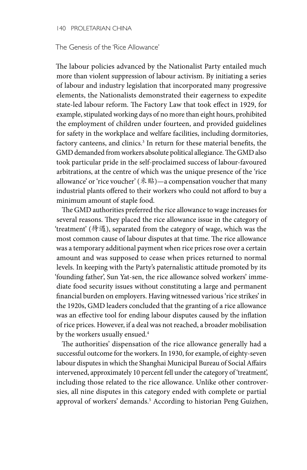#### 140 PROLETARIAN CHINA

#### The Genesis of the 'Rice Allowance'

The labour policies advanced by the Nationalist Party entailed much more than violent suppression of labour activism. By initiating a series of labour and industry legislation that incorporated many progressive elements, the Nationalists demonstrated their eagerness to expedite state-led labour reform. The Factory Law that took effect in 1929, for example, stipulated working days of no more than eight hours, prohibited the employment of children under fourteen, and provided guidelines for safety in the workplace and welfare facilities, including dormitories, factory canteens, and clinics.<sup>3</sup> In return for these material benefits, the GMD demanded from workers absolute political allegiance. The GMD also took particular pride in the self-proclaimed success of labour-favoured arbitrations, at the centre of which was the unique presence of the 'rice allowance' or 'rice voucher' (米贴)—a compensation voucher that many industrial plants offered to their workers who could not afford to buy a minimum amount of staple food.

The GMD authorities preferred the rice allowance to wage increases for several reasons. They placed the rice allowance issue in the category of 'treatment' (待遇), separated from the category of wage, which was the most common cause of labour disputes at that time. The rice allowance was a temporary additional payment when rice prices rose over a certain amount and was supposed to cease when prices returned to normal levels. In keeping with the Party's paternalistic attitude promoted by its 'founding father', Sun Yat-sen, the rice allowance solved workers' immediate food security issues without constituting a large and permanent financial burden on employers. Having witnessed various 'rice strikes' in the 1920s, GMD leaders concluded that the granting of a rice allowance was an effective tool for ending labour disputes caused by the inflation of rice prices. However, if a deal was not reached, a broader mobilisation by the workers usually ensued.<sup>4</sup>

The authorities' dispensation of the rice allowance generally had a successful outcome for the workers. In 1930, for example, of eighty-seven labour disputes in which the Shanghai Municipal Bureau of Social Affairs intervened, approximately 10 percent fell under the category of 'treatment', including those related to the rice allowance. Unlike other controversies, all nine disputes in this category ended with complete or partial approval of workers' demands.<sup>5</sup> According to historian Peng Guizhen,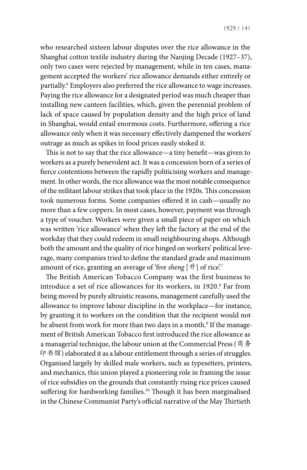who researched sixteen labour disputes over the rice allowance in the Shanghai cotton textile industry during the Nanjing Decade (1927–37), only two cases were rejected by management, while in ten cases, management accepted the workers' rice allowance demands either entirely or partially.6 Employers also preferred the rice allowance to wage increases. Paying the rice allowance for a designated period was much cheaper than installing new canteen facilities, which, given the perennial problem of lack of space caused by population density and the high price of land in Shanghai, would entail enormous costs. Furthermore, offering a rice allowance only when it was necessary effectively dampened the workers' outrage as much as spikes in food prices easily stoked it.

This is not to say that the rice allowance—a tiny benefit—was given to workers as a purely benevolent act. It was a concession born of a series of fierce contentions between the rapidly politicising workers and management. In other words, the rice allowance was the most notable consequence of the militant labour strikes that took place in the 1920s. This concession took numerous forms. Some companies offered it in cash—usually no more than a few coppers. In most cases, however, payment was through a type of voucher. Workers were given a small piece of paper on which was written 'rice allowance' when they left the factory at the end of the workday that they could redeem in small neighbouring shops. Although both the amount and the quality of rice hinged on workers' political leverage, many companies tried to define the standard grade and maximum amount of rice, granting an average of 'five *sheng* [升] of rice'.7

The British American Tobacco Company was the first business to introduce a set of rice allowances for its workers, in 1920.<sup>8</sup> Far from being moved by purely altruistic reasons, management carefully used the allowance to improve labour discipline in the workplace—for instance, by granting it to workers on the condition that the recipient would not be absent from work for more than two days in a month.<sup>9</sup> If the management of British American Tobacco first introduced the rice allowance as a managerial technique, the labour union at the Commercial Press (商务 印书馆) elaborated it as a labour entitlement through a series of struggles. Organised largely by skilled male workers, such as typesetters, printers, and mechanics, this union played a pioneering role in framing the issue of rice subsidies on the grounds that constantly rising rice prices caused suffering for hardworking families.<sup>10</sup> Though it has been marginalised in the Chinese Communist Party's official narrative of the May Thirtieth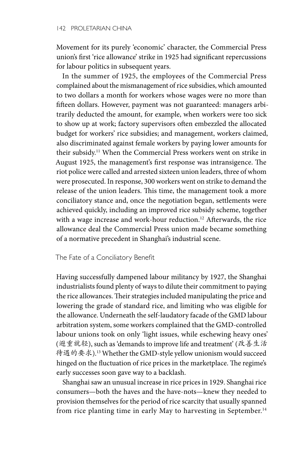Movement for its purely 'economic' character, the Commercial Press union's first 'rice allowance' strike in 1925 had significant repercussions for labour politics in subsequent years.

In the summer of 1925, the employees of the Commercial Press complained about the mismanagement of rice subsidies, which amounted to two dollars a month for workers whose wages were no more than fifteen dollars. However, payment was not guaranteed: managers arbitrarily deducted the amount, for example, when workers were too sick to show up at work; factory supervisors often embezzled the allocated budget for workers' rice subsidies; and management, workers claimed, also discriminated against female workers by paying lower amounts for their subsidy.11 When the Commercial Press workers went on strike in August 1925, the management's first response was intransigence. The riot police were called and arrested sixteen union leaders, three of whom were prosecuted. In response, 300 workers went on strike to demand the release of the union leaders. This time, the management took a more conciliatory stance and, once the negotiation began, settlements were achieved quickly, including an improved rice subsidy scheme, together with a wage increase and work-hour reduction.<sup>12</sup> Afterwards, the rice allowance deal the Commercial Press union made became something of a normative precedent in Shanghai's industrial scene.

## The Fate of a Conciliatory Benefit

Having successfully dampened labour militancy by 1927, the Shanghai industrialists found plenty of ways to dilute their commitment to paying the rice allowances. Their strategies included manipulating the price and lowering the grade of standard rice, and limiting who was eligible for the allowance. Underneath the self-laudatory facade of the GMD labour arbitration system, some workers complained that the GMD-controlled labour unions took on only 'light issues, while eschewing heavy ones' (避重就轻), such as 'demands to improve life and treatment' (改善生活 待遇的要求).13 Whether the GMD-style yellow unionism would succeed hinged on the fluctuation of rice prices in the marketplace. The regime's early successes soon gave way to a backlash.

Shanghai saw an unusual increase in rice prices in 1929. Shanghai rice consumers—both the haves and the have-nots—knew they needed to provision themselves for the period of rice scarcity that usually spanned from rice planting time in early May to harvesting in September.<sup>14</sup>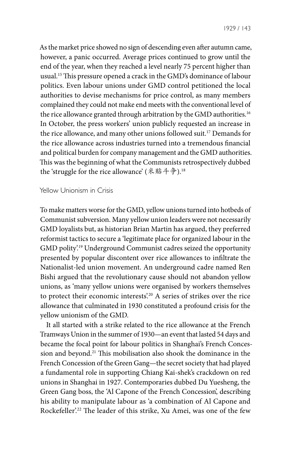As the market price showed no sign of descending even after autumn came, however, a panic occurred. Average prices continued to grow until the end of the year, when they reached a level nearly 75 percent higher than usual.15 This pressure opened a crack in the GMD's dominance of labour politics. Even labour unions under GMD control petitioned the local authorities to devise mechanisms for price control, as many members complained they could not make end meets with the conventional level of the rice allowance granted through arbitration by the GMD authorities.<sup>16</sup> In October, the press workers' union publicly requested an increase in the rice allowance, and many other unions followed suit.17 Demands for the rice allowance across industries turned into a tremendous financial and political burden for company management and the GMD authorities. This was the beginning of what the Communists retrospectively dubbed the 'struggle for the rice allowance' (米贴斗争).<sup>18</sup>

### Yellow Unionism in Crisis

To make matters worse for the GMD, yellow unions turned into hotbeds of Communist subversion. Many yellow union leaders were not necessarily GMD loyalists but, as historian Brian Martin has argued, they preferred reformist tactics to secure a 'legitimate place for organized labour in the GMD polity'.19 Underground Communist cadres seized the opportunity presented by popular discontent over rice allowances to infiltrate the Nationalist-led union movement. An underground cadre named Ren Bishi argued that the revolutionary cause should not abandon yellow unions, as 'many yellow unions were organised by workers themselves to protect their economic interests'.20 A series of strikes over the rice allowance that culminated in 1930 constituted a profound crisis for the yellow unionism of the GMD.

It all started with a strike related to the rice allowance at the French Tramways Union in the summer of 1930—an event that lasted 54 days and became the focal point for labour politics in Shanghai's French Concession and beyond.21 This mobilisation also shook the dominance in the French Concession of the Green Gang—the secret society that had played a fundamental role in supporting Chiang Kai-shek's crackdown on red unions in Shanghai in 1927. Contemporaries dubbed Du Yuesheng, the Green Gang boss, the 'Al Capone of the French Concession', describing his ability to manipulate labour as 'a combination of Al Capone and Rockefeller'.22 The leader of this strike, Xu Amei, was one of the few